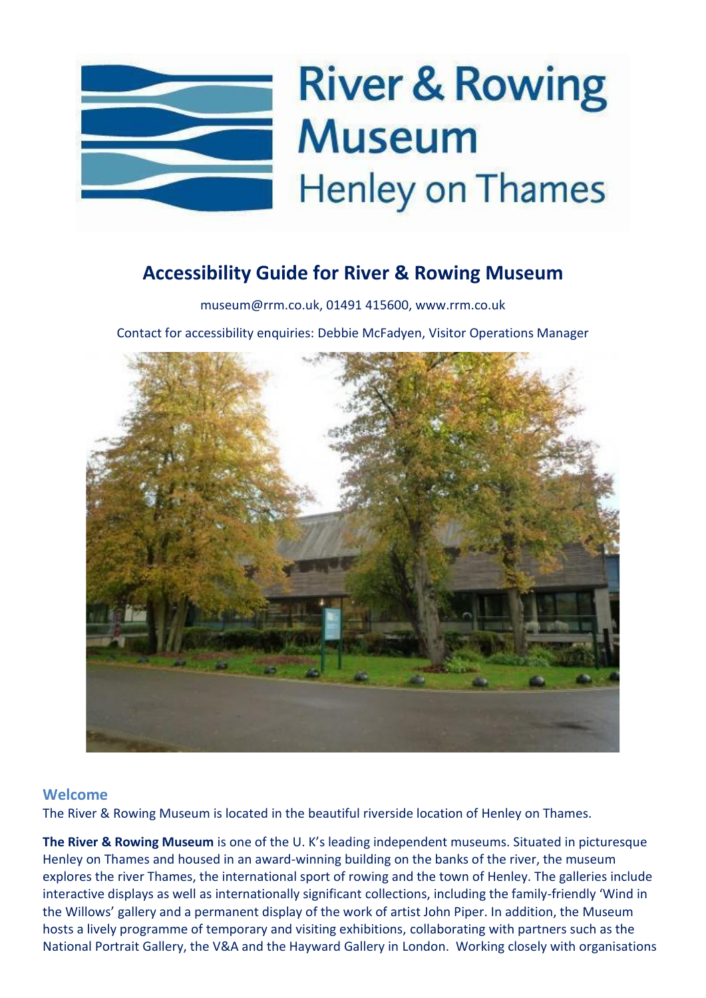

### **Accessibility Guide for River & Rowing Museum**

[museum@rrm.co.uk,](mailto:museum@rrm.co.uk) [01491 415600,](tel:01491%20415600) [www.rrm.co.uk](file:///C:/Users/yoxallc/Downloads/www.rrm.co.uk)

Contact for accessibility enquiries: Debbie McFadyen, Visitor Operations Manager



#### **Welcome**

The River & Rowing Museum is located in the beautiful riverside location of Henley on Thames.

**The River & Rowing Museum** is one of the U. K's leading independent museums. Situated in picturesque Henley on Thames and housed in an award-winning building on the banks of the river, the museum explores the river Thames, the international sport of rowing and the town of Henley. The galleries include interactive displays as well as internationally significant collections, including the family-friendly 'Wind in the Willows' gallery and a permanent display of the work of artist John Piper. In addition, the Museum hosts a lively programme of temporary and visiting exhibitions, collaborating with partners such as the National Portrait Gallery, the V&A and the Hayward Gallery in London. Working closely with organisations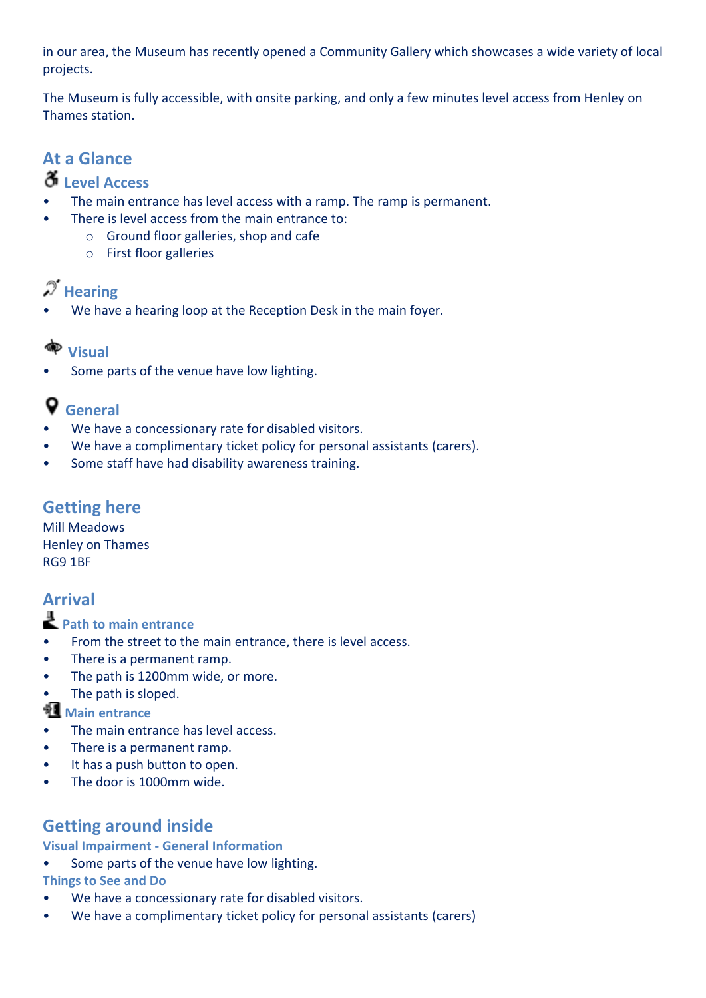in our area, the Museum has recently opened a Community Gallery which showcases a wide variety of local projects.

The Museum is fully accessible, with onsite parking, and only a few minutes level access from Henley on Thames station.

# **At a Glance**

### **Level Access**

- The main entrance has level access with a ramp. The ramp is permanent.
- There is level access from the main entrance to:
	- o Ground floor galleries, shop and cafe
	- o First floor galleries

### **Hearing**

We have a hearing loop at the Reception Desk in the main foyer.

### **Visual**

Some parts of the venue have low lighting.

## **General**

- We have a concessionary rate for disabled visitors.
- We have a complimentary ticket policy for personal assistants (carers).
- Some staff have had disability awareness training.

#### **Getting here**

Mill Meadows Henley on Thames RG9 1BF

### **Arrival**

**Path to main entrance**

- From the street to the main entrance, there is level access.
- There is a permanent ramp.
- The path is 1200mm wide, or more.
- The path is sloped.

**Main entrance** 

- The main entrance has level access.
- There is a permanent ramp.
- It has a push button to open.
- The door is 1000mm wide.

### **Getting around inside**

#### **Visual Impairment - General Information**

- Some parts of the venue have low lighting. **Things to See and Do**
- We have a concessionary rate for disabled visitors.
- We have a complimentary ticket policy for personal assistants (carers)